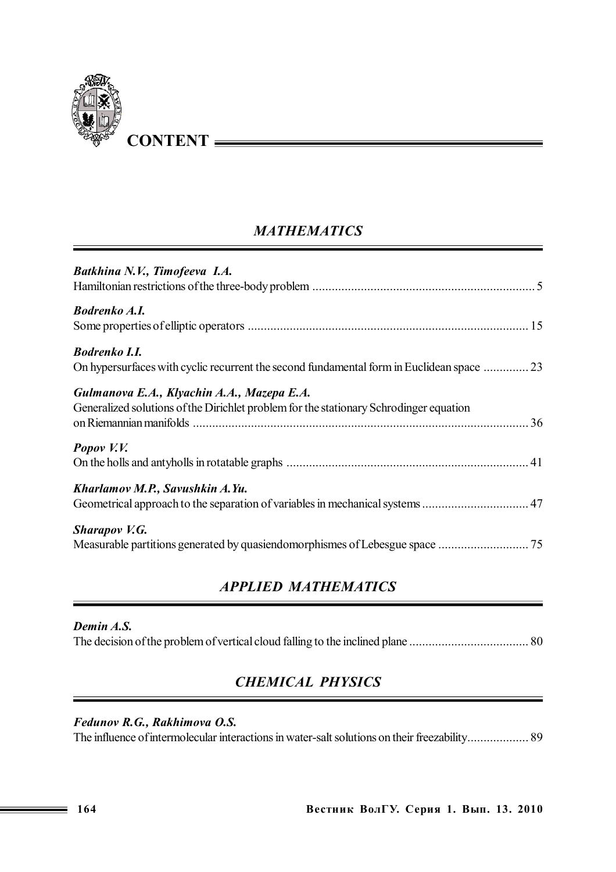

## *MATHEMATICS*

| Batkhina N.V., Timofeeva I.A.                                                                                                        |  |
|--------------------------------------------------------------------------------------------------------------------------------------|--|
| <b>Bodrenko A.I.</b>                                                                                                                 |  |
| <b>Bodrenko I.I.</b><br>On hypersurfaces with cyclic recurrent the second fundamental form in Euclidean space                        |  |
| Gulmanova E.A., Klyachin A.A., Mazepa E.A.<br>Generalized solutions of the Dirichlet problem for the stationary Schrodinger equation |  |
| Popov V.V.                                                                                                                           |  |
| Kharlamov M.P., Savushkin A.Yu.<br>Geometrical approach to the separation of variables in mechanical systems  47                     |  |
| <b>Sharapov V.G.</b>                                                                                                                 |  |

## *APPLIED MATHEMATICS*

#### *Demin A.S.*

The decision of the problem of vertical cloud falling to the inclined plane ..................................... 80

### *CHEMICAL PHYSICS*

#### *Fedunov R.G., Rakhimova O.S.*

Тhe influence of intermolecular interactions in water-salt solutions on their freezability................... 89